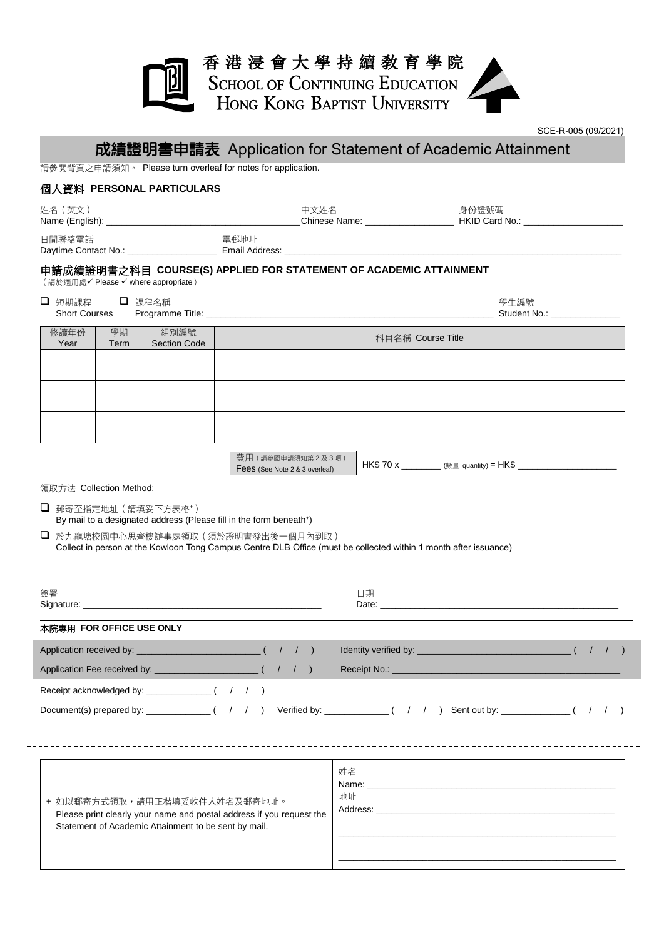## 香港浸會大學持續敎育學院 SCHOOL OF CONTINUING EDUCATION<br>HONG KONG BAPTIST UNIVERSITY

SCE-R-005 (09/2021)

## 成績證明書申請表 Application for Statement of Academic Attainment

請參閱背頁之申請須知。 Please turn overleaf for notes for application.

## 個人資料 **PERSONAL PARTICULARS**

| 姓名(英文)                                                                                                   |            |                             |                   | 中文姓名 |                   | 身份證號碼 | Chinese Name: The HKID Card No.:      |  |  |
|----------------------------------------------------------------------------------------------------------|------------|-----------------------------|-------------------|------|-------------------|-------|---------------------------------------|--|--|
| 日間聯絡電話                                                                                                   |            |                             | 電郵地址              |      |                   |       |                                       |  |  |
| 申請成績證明書之科目 COURSE(S) APPLIED FOR STATEMENT OF ACADEMIC ATTAINMENT<br>(請於適用處√ Please √ where appropriate) |            |                             |                   |      |                   |       |                                       |  |  |
| □ 短期課程 □ 課程名稱                                                                                            |            |                             |                   |      |                   |       | 學生編號<br>Student No.: The Student No.: |  |  |
| 修讀年份<br>Year                                                                                             | 學期<br>Term | 組別編號<br><b>Section Code</b> |                   |      | 科目名稱 Course Title |       |                                       |  |  |
|                                                                                                          |            |                             |                   |      |                   |       |                                       |  |  |
|                                                                                                          |            |                             |                   |      |                   |       |                                       |  |  |
|                                                                                                          |            |                             |                   |      |                   |       |                                       |  |  |
|                                                                                                          |            |                             |                   |      |                   |       |                                       |  |  |
|                                                                                                          |            |                             | 費用 (請參閱申請須知第2及3項) |      |                   |       |                                       |  |  |

Fees (See Note 2 & 3 overleaf) HK\$ 70 x \_\_\_\_\_\_\_\_ (數量 quantity) = HK\$ \_\_\_\_\_\_\_\_\_\_\_\_\_\_\_\_\_\_\_\_

\_\_\_\_\_\_\_\_\_\_\_\_\_\_\_\_\_\_\_\_\_\_\_\_\_\_\_\_\_\_\_\_\_\_\_\_\_\_\_\_\_\_\_\_\_\_\_\_\_\_\_\_\_\_\_\_

\_\_\_\_\_\_\_\_\_\_\_\_\_\_\_\_\_\_\_\_\_\_\_\_\_\_\_\_\_\_\_\_\_\_\_\_\_\_\_\_\_\_\_\_\_\_\_\_\_\_\_\_\_\_\_\_

領取方法 Collection Method:

□ 郵寄至指定地址 (請填妥下方表格+) By mail to a designated address (Please fill in the form beneath<sup>+</sup>)

 於九龍塘校園中心思齊樓辦事處領取(須於證明書發出後一個月內到取) Collect in person at the Kowloon Tong Campus Centre DLB Office (must be collected within 1 month after issuance)

| 簽署<br>Signature: Signature: Signature: Signature: Signature: Signature: Signature: Signature: Signature: Signature: Signature: Signature: Signature: Signature: Signature: Signature: Signature: Signature: Signature: Signature: Si | 日期<br>Date: the contract of the contract of the contract of the contract of the contract of the contract of the contract of the contract of the contract of the contract of the contract of the contract of the contract of the cont |
|--------------------------------------------------------------------------------------------------------------------------------------------------------------------------------------------------------------------------------------|--------------------------------------------------------------------------------------------------------------------------------------------------------------------------------------------------------------------------------------|
| 本院專用 FOR OFFICE USE ONLY                                                                                                                                                                                                             |                                                                                                                                                                                                                                      |
|                                                                                                                                                                                                                                      |                                                                                                                                                                                                                                      |
|                                                                                                                                                                                                                                      |                                                                                                                                                                                                                                      |
| Receipt acknowledged by: $( / / )$                                                                                                                                                                                                   |                                                                                                                                                                                                                                      |
|                                                                                                                                                                                                                                      | Document(s) prepared by: _____________( / / ) Verified by: ____________( / / ) Sent out by: ___________( / / )                                                                                                                       |
|                                                                                                                                                                                                                                      |                                                                                                                                                                                                                                      |
|                                                                                                                                                                                                                                      |                                                                                                                                                                                                                                      |
|                                                                                                                                                                                                                                      | 姓名                                                                                                                                                                                                                                   |
| + 如以郵寄方式領取,請用正楷填妥收件人姓名及郵寄地址。                                                                                                                                                                                                         | 地址<br>Address: the contract of the contract of the contract of the contract of the contract of the contract of the contract of the contract of the contract of the contract of the contract of the contract of the contract of the c |
| Please print clearly your name and postal address if you request the<br>Statement of Academic Attainment to be sent by mail.                                                                                                         |                                                                                                                                                                                                                                      |